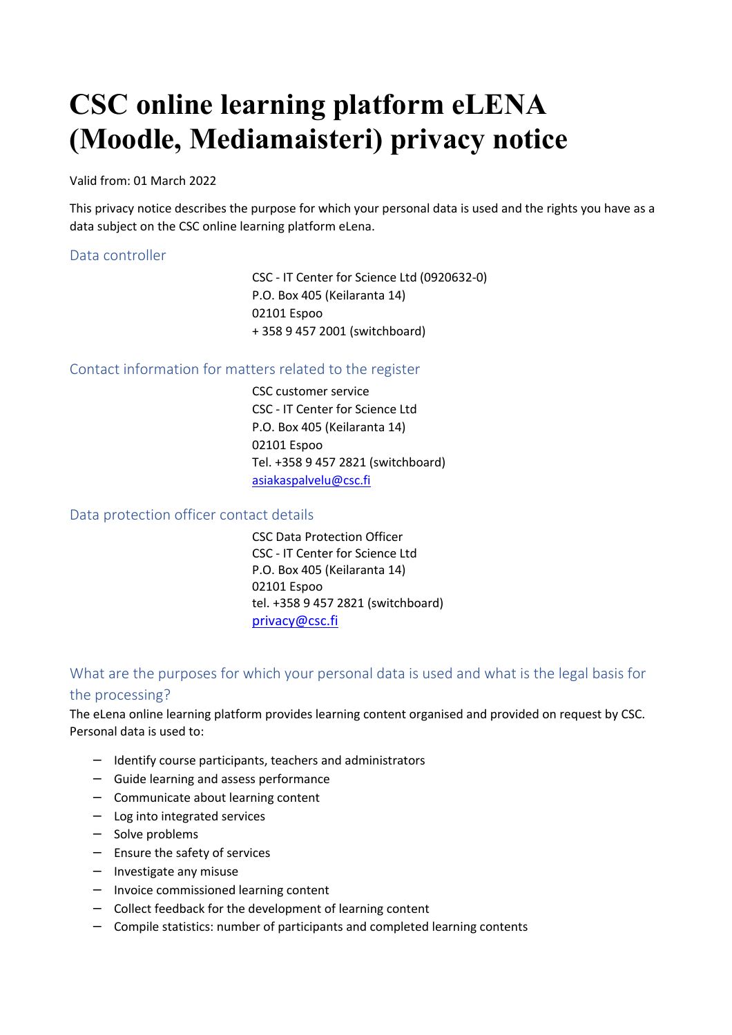# **CSC online learning platform eLENA (Moodle, Mediamaisteri) privacy notice**

Valid from: 01 March 2022

This privacy notice describes the purpose for which your personal data is used and the rights you have as a data subject on the CSC online learning platform eLena.

### Data controller

CSC - IT Center for Science Ltd (0920632-0) P.O. Box 405 (Keilaranta 14) 02101 Espoo + 358 9 457 2001 (switchboard)

### Contact information for matters related to the register

CSC customer service CSC - IT Center for Science Ltd P.O. Box 405 (Keilaranta 14) 02101 Espoo Tel. +358 9 457 2821 (switchboard) asiakaspalvelu@csc.fi

### Data protection officer contact details

CSC Data Protection Officer CSC - IT Center for Science Ltd P.O. Box 405 (Keilaranta 14) 02101 Espoo tel. +358 9 457 2821 (switchboard) privacy@csc.fi

# What are the purposes for which your personal data is used and what is the legal basis for the processing?

The eLena online learning platform provides learning content organised and provided on request by CSC. Personal data is used to:

- − Identify course participants, teachers and administrators
- − Guide learning and assess performance
- − Communicate about learning content
- − Log into integrated services
- − Solve problems
- − Ensure the safety of services
- − Investigate any misuse
- − Invoice commissioned learning content
- − Collect feedback for the development of learning content
- − Compile statistics: number of participants and completed learning contents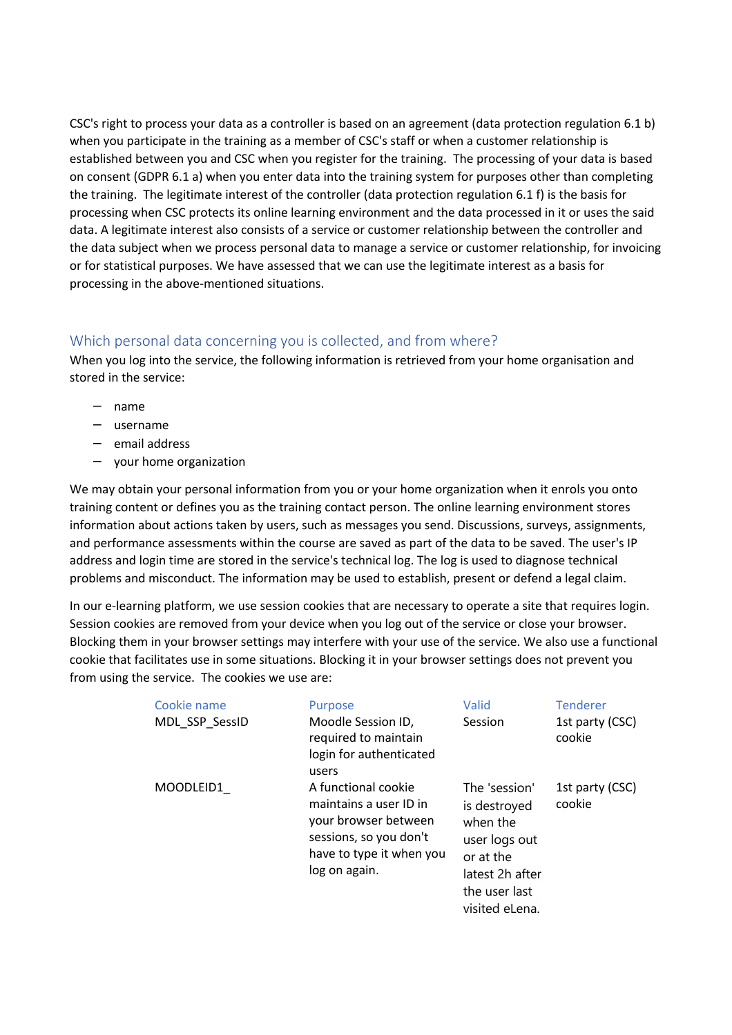CSC's right to process your data as a controller is based on an agreement (data protection regulation 6.1 b) when you participate in the training as a member of CSC's staff or when a customer relationship is established between you and CSC when you register for the training. The processing of your data is based on consent (GDPR 6.1 a) when you enter data into the training system for purposes other than completing the training. The legitimate interest of the controller (data protection regulation 6.1 f) is the basis for processing when CSC protects its online learning environment and the data processed in it or uses the said data. A legitimate interest also consists of a service or customer relationship between the controller and the data subject when we process personal data to manage a service or customer relationship, for invoicing or for statistical purposes. We have assessed that we can use the legitimate interest as a basis for processing in the above-mentioned situations.

## Which personal data concerning you is collected, and from where?

When you log into the service, the following information is retrieved from your home organisation and stored in the service:

- − name
- − username
- − email address
- − your home organization

We may obtain your personal information from you or your home organization when it enrols you onto training content or defines you as the training contact person. The online learning environment stores information about actions taken by users, such as messages you send. Discussions, surveys, assignments, and performance assessments within the course are saved as part of the data to be saved. The user's IP address and login time are stored in the service's technical log. The log is used to diagnose technical problems and misconduct. The information may be used to establish, present or defend a legal claim.

In our e-learning platform, we use session cookies that are necessary to operate a site that requires login. Session cookies are removed from your device when you log out of the service or close your browser. Blocking them in your browser settings may interfere with your use of the service. We also use a functional cookie that facilitates use in some situations. Blocking it in your browser settings does not prevent you from using the service. The cookies we use are:

| Cookie name<br>MDL SSP SessID | Purpose<br>Moodle Session ID,<br>required to maintain<br>login for authenticated<br>users                                                    | Valid<br>Session                                                                                                              | <b>Tenderer</b><br>1st party (CSC)<br>cookie |
|-------------------------------|----------------------------------------------------------------------------------------------------------------------------------------------|-------------------------------------------------------------------------------------------------------------------------------|----------------------------------------------|
| MOODLEID1                     | A functional cookie<br>maintains a user ID in<br>your browser between<br>sessions, so you don't<br>have to type it when you<br>log on again. | The 'session'<br>is destroyed<br>when the<br>user logs out<br>or at the<br>latest 2h after<br>the user last<br>visited eLena. | 1st party (CSC)<br>cookie                    |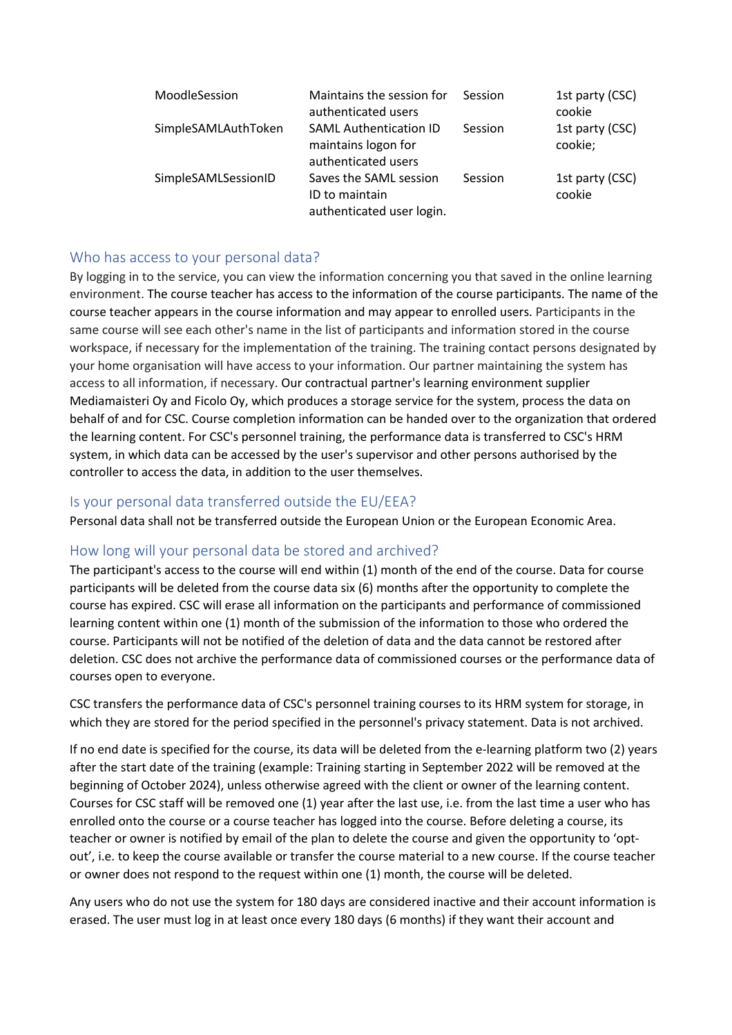| MoodleSession       | Maintains the session for<br>authenticated users                            | Session | 1st party (CSC)<br>cookie  |
|---------------------|-----------------------------------------------------------------------------|---------|----------------------------|
| SimpleSAMLAuthToken | <b>SAML Authentication ID</b><br>maintains logon for<br>authenticated users | Session | 1st party (CSC)<br>cookie; |
| SimpleSAMLSessionID | Saves the SAML session<br>ID to maintain<br>authenticated user login.       | Session | 1st party (CSC)<br>cookie  |

## Who has access to your personal data?

By logging in to the service, you can view the information concerning you that saved in the online learning environment. The course teacher has access to the information of the course participants. The name of the course teacher appears in the course information and may appear to enrolled users. Participants in the same course will see each other's name in the list of participants and information stored in the course workspace, if necessary for the implementation of the training. The training contact persons designated by your home organisation will have access to your information. Our partner maintaining the system has access to all information, if necessary. Our contractual partner's learning environment supplier Mediamaisteri Oy and Ficolo Oy, which produces a storage service for the system, process the data on behalf of and for CSC. Course completion information can be handed over to the organization that ordered the learning content. For CSC's personnel training, the performance data is transferred to CSC's HRM system, in which data can be accessed by the user's supervisor and other persons authorised by the controller to access the data, in addition to the user themselves.

### Is your personal data transferred outside the EU/EEA?

Personal data shall not be transferred outside the European Union or the European Economic Area.

## How long will your personal data be stored and archived?

The participant's access to the course will end within (1) month of the end of the course. Data for course participants will be deleted from the course data six (6) months after the opportunity to complete the course has expired. CSC will erase all information on the participants and performance of commissioned learning content within one (1) month of the submission of the information to those who ordered the course. Participants will not be notified of the deletion of data and the data cannot be restored after deletion. CSC does not archive the performance data of commissioned courses or the performance data of courses open to everyone.

CSC transfers the performance data of CSC's personnel training courses to its HRM system for storage, in which they are stored for the period specified in the personnel's privacy statement. Data is not archived.

If no end date is specified for the course, its data will be deleted from the e-learning platform two (2) years after the start date of the training (example: Training starting in September 2022 will be removed at the beginning of October 2024), unless otherwise agreed with the client or owner of the learning content. Courses for CSC staff will be removed one (1) year after the last use, i.e. from the last time a user who has enrolled onto the course or a course teacher has logged into the course. Before deleting a course, its teacher or owner is notified by email of the plan to delete the course and given the opportunity to 'optout', i.e. to keep the course available or transfer the course material to a new course. If the course teacher or owner does not respond to the request within one (1) month, the course will be deleted.

Any users who do not use the system for 180 days are considered inactive and their account information is erased. The user must log in at least once every 180 days (6 months) if they want their account and